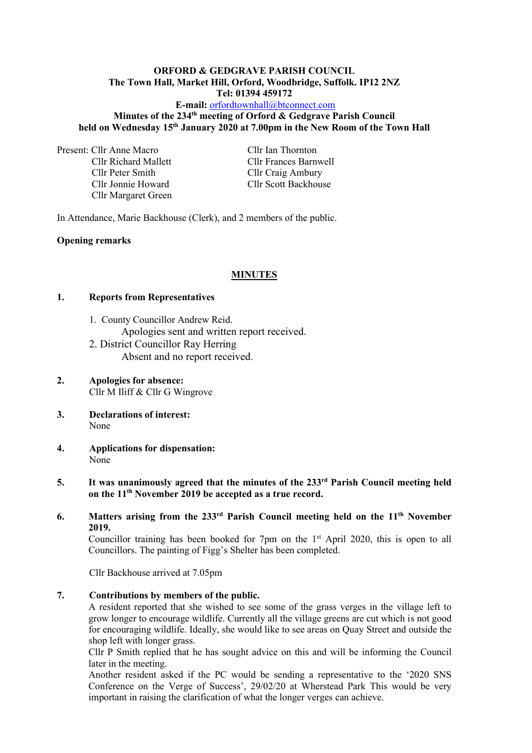#### **ORFORD & GEDGRAVE PARISH COUNCIL The Town Hall, Market Hill, Orford, Woodbridge, Suffolk. IP12 2NZ Tel: 01394 459172**

## **E-mail:** [orfordtownhall@btconnect.com](mailto:orfordtownhall@btconnect.com) **Minutes of the 234 th meeting of Orford & Gedgrave Parish Council held on Wednesday 15 th January 2020 at 7.00pm in the New Room of the Town Hall**

Present: Cllr Anne Macro Cllr Ian Thornton

Cllr Peter Smith Cllr Craig Ambury Cllr Jonnie Howard Cllr Scott Backhouse Cllr Margaret Green

Cllr Richard Mallett Cllr Frances Barnwell

In Attendance, Marie Backhouse (Clerk), and 2 members of the public.

# **Opening remarks**

# **MINUTES**

### **1. Reports from Representatives**

- 1. County Councillor Andrew Reid. Apologies sent and written report received. 2. District Councillor Ray Herring
	- Absent and no report received.
- **2. Apologies for absence:** Cllr M Iliff & Cllr G Wingrove
- **3. Declarations of interest:** None
- **4. Applications for dispensation:** None

# **5. It was unanimously agreed that the minutes of the 233 rd Parish Council meeting held on the 11th November 2019 be accepted as a true record.**

# **6. Matters arising from the 233 rd Parish Council meeting held on the 11 th November 2019.**

Councillor training has been booked for 7pm on the  $1<sup>st</sup>$  April 2020, this is open to all Councillors. The painting of Figg's Shelter has been completed.

Cllr Backhouse arrived at 7.05pm

## **7. Contributions by members of the public.**

A resident reported that she wished to see some of the grass verges in the village left to grow longer to encourage wildlife. Currently all the village greens are cut which is not good for encouraging wildlife. Ideally, she would like to see areas on Quay Street and outside the shop left with longer grass.

Cllr P Smith replied that he has sought advice on this and will be informing the Council later in the meeting.

Another resident asked if the PC would be sending a representative to the '2020 SNS Conference on the Verge of Success', 29/02/20 at Wherstead Park This would be very important in raising the clarification of what the longer verges can achieve.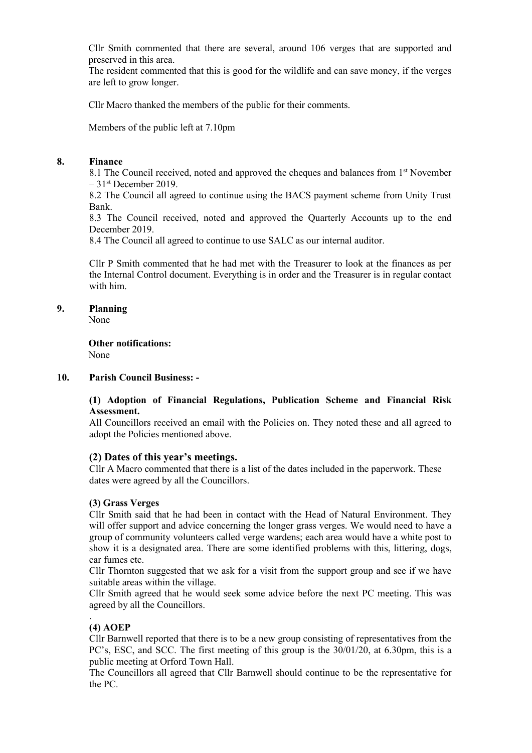Cllr Smith commented that there are several, around 106 verges that are supported and preserved in this area.

The resident commented that this is good for the wildlife and can save money, if the verges are left to grow longer.

Cllr Macro thanked the members of the public for their comments.

Members of the public left at 7.10pm

## **8. Finance**

8.1 The Council received, noted and approved the cheques and balances from 1<sup>st</sup> November – 31 st December 2019.

8.2 The Council all agreed to continue using the BACS payment scheme from Unity Trust Bank.

8.3 The Council received, noted and approved the Quarterly Accounts up to the end December 2019.

8.4 The Council all agreed to continue to use SALC as our internal auditor.

Cllr P Smith commented that he had met with the Treasurer to look at the finances as per the Internal Control document. Everything is in order and the Treasurer is in regular contact with him.

# **9. Planning**

None

**Other notifications:** None

# **10. Parish Council Business: -**

## **(1) Adoption of Financial Regulations, Publication Scheme and Financial Risk Assessment.**

All Councillors received an email with the Policies on. They noted these and all agreed to adopt the Policies mentioned above.

# **(2) Dates of this year's meetings.**

Cllr A Macro commented that there is a list of the dates included in the paperwork. These dates were agreed by all the Councillors.

### **(3) Grass Verges**

Cllr Smith said that he had been in contact with the Head of Natural Environment. They will offer support and advice concerning the longer grass verges. We would need to have a group of community volunteers called verge wardens; each area would have a white post to show it is a designated area. There are some identified problems with this, littering, dogs, car fumes etc.

Cllr Thornton suggested that we ask for a visit from the support group and see if we have suitable areas within the village.

Cllr Smith agreed that he would seek some advice before the next PC meeting. This was agreed by all the Councillors.

# **(4) AOEP**

.

Cllr Barnwell reported that there is to be a new group consisting of representatives from the PC's, ESC, and SCC. The first meeting of this group is the 30/01/20, at 6.30pm, this is a public meeting at Orford Town Hall.

The Councillors all agreed that Cllr Barnwell should continue to be the representative for the PC.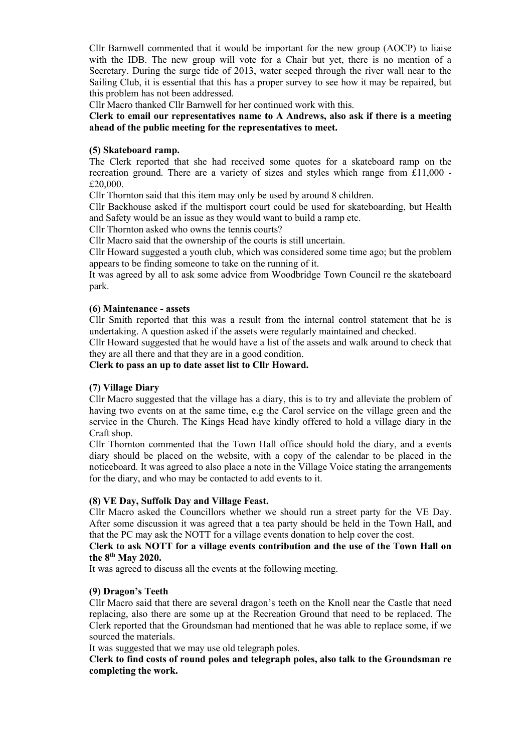Cllr Barnwell commented that it would be important for the new group (AOCP) to liaise with the IDB. The new group will vote for a Chair but yet, there is no mention of a Secretary. During the surge tide of 2013, water seeped through the river wall near to the Sailing Club, it is essential that this has a proper survey to see how it may be repaired, but this problem has not been addressed.

Cllr Macro thanked Cllr Barnwell for her continued work with this.

**Clerk to email our representatives name to A Andrews, also ask if there is a meeting ahead of the public meeting for the representatives to meet.**

#### **(5) Skateboard ramp.**

The Clerk reported that she had received some quotes for a skateboard ramp on the recreation ground. There are a variety of sizes and styles which range from £11,000 - £20,000.

Cllr Thornton said that this item may only be used by around 8 children.

Cllr Backhouse asked if the multisport court could be used for skateboarding, but Health and Safety would be an issue as they would want to build a ramp etc.

Cllr Thornton asked who owns the tennis courts?

Cllr Macro said that the ownership of the courts is still uncertain.

Cllr Howard suggested a youth club, which was considered some time ago; but the problem appears to be finding someone to take on the running of it.

It was agreed by all to ask some advice from Woodbridge Town Council re the skateboard park.

#### **(6) Maintenance - assets**

Cllr Smith reported that this was a result from the internal control statement that he is undertaking. A question asked if the assets were regularly maintained and checked.

Cllr Howard suggested that he would have a list of the assets and walk around to check that they are all there and that they are in a good condition.

**Clerk to pass an up to date asset list to Cllr Howard.**

### **(7) Village Diary**

Cllr Macro suggested that the village has a diary, this is to try and alleviate the problem of having two events on at the same time, e.g the Carol service on the village green and the service in the Church. The Kings Head have kindly offered to hold a village diary in the Craft shop.

Cllr Thornton commented that the Town Hall office should hold the diary, and a events diary should be placed on the website, with a copy of the calendar to be placed in the noticeboard. It was agreed to also place a note in the Village Voice stating the arrangements for the diary, and who may be contacted to add events to it.

#### **(8) VE Day, Suffolk Day and Village Feast.**

Cllr Macro asked the Councillors whether we should run a street party for the VE Day. After some discussion it was agreed that a tea party should be held in the Town Hall, and that the PC may ask the NOTT for a village events donation to help cover the cost.

## **Clerk to ask NOTT for a village events contribution and the use of the Town Hall on the 8 th May 2020.**

It was agreed to discuss all the events at the following meeting.

### **(9) Dragon's Teeth**

Cllr Macro said that there are several dragon's teeth on the Knoll near the Castle that need replacing, also there are some up at the Recreation Ground that need to be replaced. The Clerk reported that the Groundsman had mentioned that he was able to replace some, if we sourced the materials.

It was suggested that we may use old telegraph poles.

## **Clerk to find costs of round poles and telegraph poles, also talk to the Groundsman re completing the work.**